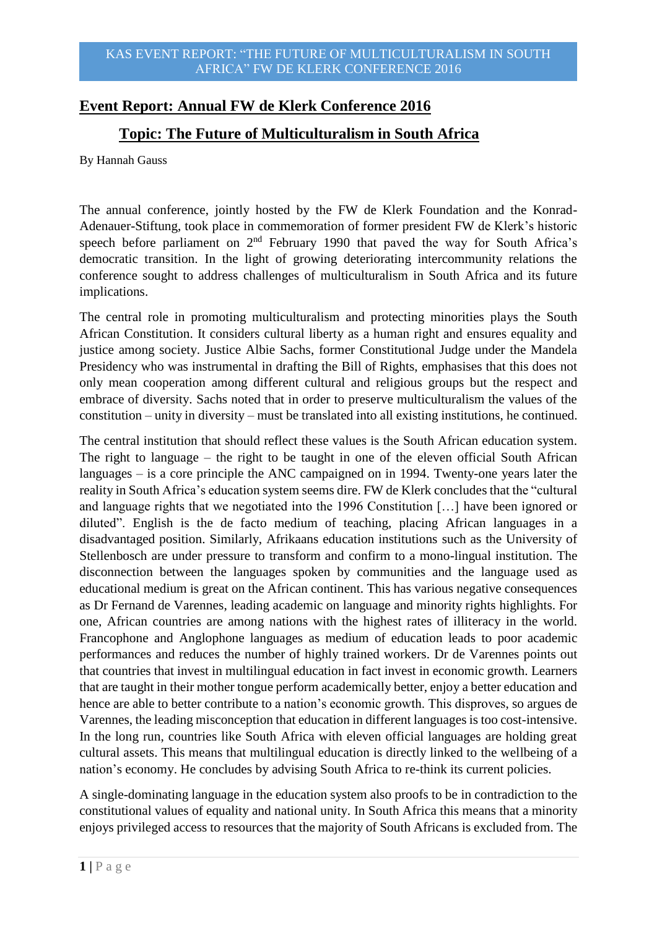## **Event Report: Annual FW de Klerk Conference 2016**

## **Topic: The Future of Multiculturalism in South Africa**

By Hannah Gauss

The annual conference, jointly hosted by the FW de Klerk Foundation and the Konrad-Adenauer-Stiftung, took place in commemoration of former president FW de Klerk's historic speech before parliament on  $2<sup>nd</sup>$  February 1990 that paved the way for South Africa's democratic transition. In the light of growing deteriorating intercommunity relations the conference sought to address challenges of multiculturalism in South Africa and its future implications.

The central role in promoting multiculturalism and protecting minorities plays the South African Constitution. It considers cultural liberty as a human right and ensures equality and justice among society. Justice Albie Sachs, former Constitutional Judge under the Mandela Presidency who was instrumental in drafting the Bill of Rights, emphasises that this does not only mean cooperation among different cultural and religious groups but the respect and embrace of diversity. Sachs noted that in order to preserve multiculturalism the values of the constitution – unity in diversity – must be translated into all existing institutions, he continued.

The central institution that should reflect these values is the South African education system. The right to language – the right to be taught in one of the eleven official South African languages – is a core principle the ANC campaigned on in 1994. Twenty-one years later the reality in South Africa's education system seems dire. FW de Klerk concludes that the "cultural and language rights that we negotiated into the 1996 Constitution […] have been ignored or diluted". English is the de facto medium of teaching, placing African languages in a disadvantaged position. Similarly, Afrikaans education institutions such as the University of Stellenbosch are under pressure to transform and confirm to a mono-lingual institution. The disconnection between the languages spoken by communities and the language used as educational medium is great on the African continent. This has various negative consequences as Dr Fernand de Varennes, leading academic on language and minority rights highlights. For one, African countries are among nations with the highest rates of illiteracy in the world. Francophone and Anglophone languages as medium of education leads to poor academic performances and reduces the number of highly trained workers. Dr de Varennes points out that countries that invest in multilingual education in fact invest in economic growth. Learners that are taught in their mother tongue perform academically better, enjoy a better education and hence are able to better contribute to a nation's economic growth. This disproves, so argues de Varennes, the leading misconception that education in different languages is too cost-intensive. In the long run, countries like South Africa with eleven official languages are holding great cultural assets. This means that multilingual education is directly linked to the wellbeing of a nation's economy. He concludes by advising South Africa to re-think its current policies.

A single-dominating language in the education system also proofs to be in contradiction to the constitutional values of equality and national unity. In South Africa this means that a minority enjoys privileged access to resources that the majority of South Africans is excluded from. The